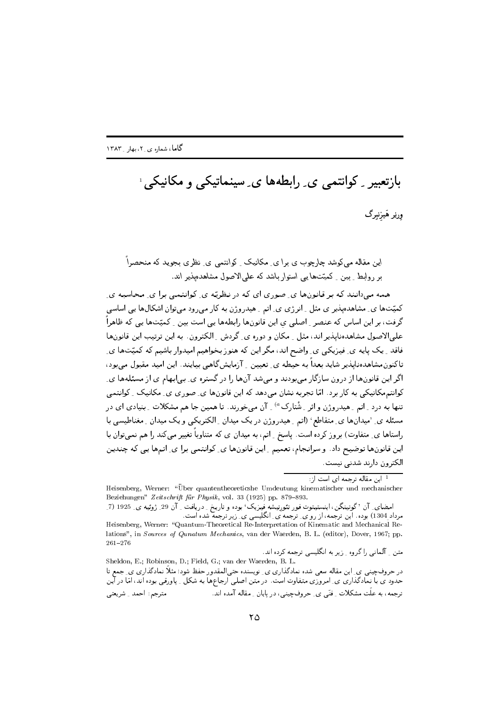$261 - 276$ 

بازتعبیر <sub>-</sub> کوانتمی ی ِ رابطهها ی ِ سینماتیکی و مکانیکی ا ورنِر هَيزنبرگ

این مقاله می کوشد چارچوب ی برا ی ِ مکانیک ِ کوانتمی ی ِ نظری بجوید که منحصراً یر روابط کیبن کمیّتها پی استوار باشد که علی الاصول مشاهدهبذیر اند.

همه می۱دانند که بر قانونها ی صوری ای که در نظریّه ی کوانتمی برا ی محاسبه ی کمیّتها ی ِ مشاهدهپذیر ی مثل ِ انرژی ی ِ اتم ِ هیدروژن به کار میرود میتوان اشکالها یی اساسی گرفت، بر این اساس که عنصر <sub>-</sub> اصلی ی این قانونها رابطهها یی است بین <sub>-</sub> کمیّتها یی<sub>،</sub> که ظاهراً علمی|لاصول مشاهدهنایپذیر اند، مثل ِ مکان و دوره ی ِ گردش ِ الکترون ِ به این ترتیب این قانونها فاقد ِ یک پایه ی ِ فیزیکی ی ِ واضح اند، مگر این که هنوز بخواهیم امیدوار باشیم که کمیّتها ی ِ تاکنون.مشاهدهنایذیر شاید بعداً به حیطه ی ِ تعیین ِ آزمایشگاهیی بیایند. این امید مقبول می بود، اگر این قانون ها از درون سازگار مے بودند و مے شد آن ها را در گستره ی بے ایهام ی از مسئلهها ی کوانتہمکانیکی به کار برد. امّا تجربه نشان می دهد که این قانون۱۵ ی ِ صوری ی ی ِ مکانیک ِ کوانتمی تنها به درد <sub>بر</sub>اتم بهیدروژن و اثر به شْتارک<sup>» ب</sup>ر آن می خورند. تا همین جا هم مشکلات بینیادی ای در مسئله ی ِ 'میدانها ی ِ متقاطع' (اتم ِ هیدروژن در یک میدان ِ الکتریکی و یک میدان ِ مغناطیسی با راستاها ی ِ متفاوت) بروز کرده است. پاسخ ِ اتم، به میدان ی که متناوباً تغییر میکند را هم نمی توان با این قانونها توضیح داد. و سرانجام، تعمیم ِ این قانونها ی ِ کوانتمی برا ی ِ اتمها یی که چندین الکترون دارند شدنی نیست.

<sup>1</sup> این مقاله ترجمه ای است از:

Heisenberg, Werner: "Über quantentheoreticshe Umdeutung kinematischer und mechanischer Beziehungen" Zeitschrift für Physik, vol. 33 (1925) pp. 879-893.

امضای ِ آن 'گوتینگن، اینستیتوت فور تئورِتیشه فیزیک' بوده و تاریخ ِ ِ دریافت ِ آن 29 ِ ژوئیه ی ِ 1925 (7 ِ مرداد 1304) بوده. این ترجمه، از رو ی ِ ترجمه َی ِ انگلیسی ی ِ زیر ترجمه شده است. Heisenberg, Werner: "Quantum-Theoretical Re-Interpretation of Kinematic and Mechanical Relations", in Sources of Qunatum Mechanics, van der Waerden, B. L. (editor), Dover, 1967; pp.

متن کلمانی را گروه کرزیر به انگلیسی ترجمه کرده اند. Sheldon, E.; Robinson, D.; Field, G.; van der Waerden, B. L. در حروفچینی ی ِ این مقاله سعی شده نمادگذاری ی ِ نویسنده حتی|لمقدور حفظ شود؛ مثلاً نمادگذاری ی ِ جمع تا حدود ی با نمادگذاری ی ِ امروزی متفاوت است. در متن اصلی ارجاعها به شکل ِ پاورقی بوده اند، امّا در آین ترجمه، به علت مشکلات ِ فتّى ي ِ حروفچینى، در پایان ِ مقاله آمده اند. مترجم: احمد ِ شريعتي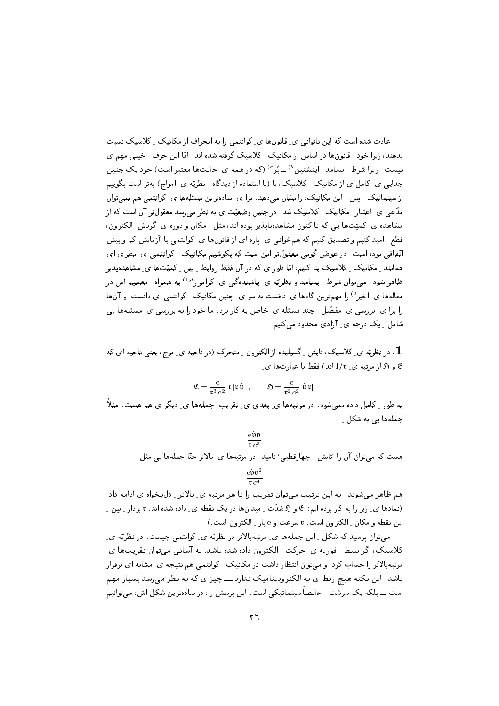2T3 M40 M4  z? 
 # L 5  2 "\$ ,8 (b 74H zB    "\$ = M40 M4  S 
 L H  . نیست. ریرا سرط ِ بسامد ِ اینشنین ` ــ بر ` (نه در همه ی ِ حالتها معتبر است) خود یک چنین جدایی ی ِ کامل ی از مکانیک ِ کلاسیک، یا (با استفاده از دیدگاه ِ نظریّه ی ِ امواج) بهتر است بگوییم ار سینمائیک ۱ پس ۱ این محالیک) را نسان می دهد. ابرا ای سادهترین مستنهها ای ۱ نوابنمی هم تمی توان ي في جهاز المستقلة المستوفى المستقلة المستقلة المستقلة المستقلة المستقلة المستقلة المستقلة المستقلة المستقلة ا مساهده ی ِ تمیت ها پی ته با تنون مساهدهآبدیر بوده اند، مش ِ محان و دوره ی ِ تردش ِ انجنرون ، فضح ِ اميد نتيم و تصديق نتيم به سم خواني اي ع باره اي از قانونها اي ِ نوابلمي با ارمايش بم و بيش ے کی جات ہے کی جات کرتے ہیں کہ اس کا ان کا ان کا ان کا ان کا ان کا ان کا ان کا ان کا ان کا ان کا ان کا ان کا ا همانند [محانيخا | بالاستحاجات البيم، اما طور ي به در ان فقط روابط [جين | بميت ها ي ] مساهدةپنديز / طاهر سود. می نوان سرط <sub>-</sub> بسامد و نطریه ی ِ پاسنده نبی ی ِ ترامرز `` به همراه <sub>-</sub> نعمیم اس در مقالهها ی ِ اخیر ` را مهمترین کامها ی ِ نخست به سو ی ِ چنین مکانیک ِ ِ دوانتمی ای دانست، و انها را برا ی ِ بررسی ی ِ مفصّل ِ چند مسئله ی ِ خاص به کار برد. ما خود را به بررسی ی ِ مسئلهها یی (4. -? ) 
 M R\$

ل کی گئی سے بھی کہ اس کے اس کے اس کا اس کا اس کے لیے اس کے اس کے اس کے اس کا اس کا ان کے اس کے اس کے اس کے اس ,
T8 g>= U T5  - -

$$
\mathfrak{E} = \frac{\mathrm{e}}{\mathrm{t}^3 c^2} [\mathrm{t} [\mathrm{t} \,\dot{\mathfrak{v}}]], \qquad \mathfrak{H} = \frac{\mathrm{e}}{\mathrm{t}^2 c^2} [\dot{\mathfrak{v}} \,\mathrm{t}],
$$

به طور کامل داده نمی شود. در مرتبهها ی بعدی ی تقریب، جملهها ی دیگر ی هم هست. مثلاً جملهها یی به شکل ِ

## $\frac{\text{e} \mathfrak{v} \mathfrak{v}}{\text{r} \cdot \text{e}^3}$

 $\sim$  סנדי האוליט טוני דיין הראש בארצון דיין כילידי טנידו ליינו דיין דיין. כ

$$
\frac{\mathrm{evv}^2}{\mathrm{r} c^4}
$$

 $\mathcal{F} = \{ \mathcal{F} \mid \mathcal{F} \in \mathcal{F} \mid \mathcal{F} \text{ and } \mathcal{F} \text{ is a finite number of } \mathcal{F} \}$  . The set of  $\mathcal{F} = \{ \mathcal{F} \mid \mathcal{F} \text{ is a finite number of } \mathcal{F} \}$ ل المسلم المستخدمة المستخدمة المستخدمة المستخدمة المستخدمة المستخدمة المستخدمة المستخدمة المستخدمة المستخدمة ا U2 - F  - 28 2 - F - J> 

می نوان پرسید به شخیل ۱ این جمیهها ای مرتبه با دیر در نظریه ای انوابیمی چیست. در نظریه ای - היה המודע היה עם היענט - הייננט - היה היה היה היה של היה היה של ה L  % 14 ( # M4 
 2\$ 
- 5 - A3B 
 5hT5  $\mathbf{r}$  , and  $\mathbf{r}$  is the contract of  $\mathbf{r}$  ,  $\mathbf{r}$  ,  $\mathbf{r}$  ,  $\mathbf{r}$  ,  $\mathbf{r}$  ,  $\mathbf{r}$  ,  $\mathbf{r}$  ,  $\mathbf{r}$  ,  $\mathbf{r}$  ,  $\mathbf{r}$  ,  $\mathbf{r}$  ,  $\mathbf{r}$  ,  $\mathbf{r}$  ,  $\mathbf{r}$  ,  $\mathbf{r}$  ,  $\mathbf{r}$  ,  $\$ است ـــ بنگته يك سرست \_ حالصة سينمائيكتي است. اين پرسس را، در سادەترين سكنل اس، مىفواتيىم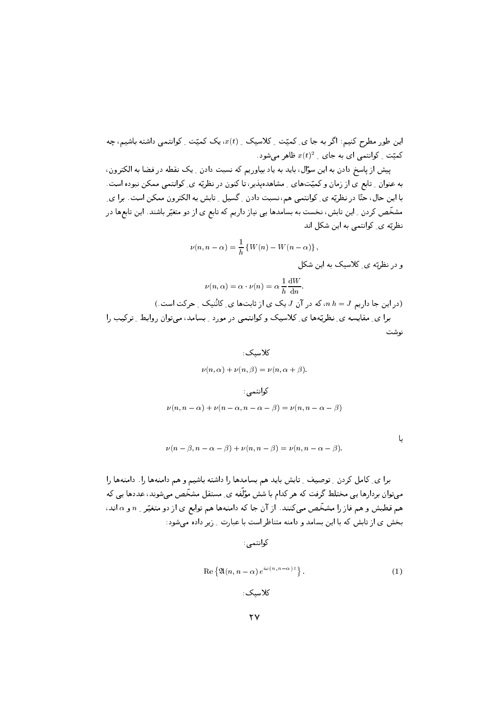ے اس روپان اور اس کے است کے اس کا اس کا اس کا اس کا اس کا اس کا اس کا ان کا اس کا ان کا ان کا ان کا ان کا ان ک  $\alpha$  تمیت ِ دوآنتمی آی به جای ِ  $x(t)=x$  طاهر میسود

سيس از پاسخ دادن به اين سوان، بايد به ياد بياوريم ته تسبب دادن <sub>ب</sub>ا يك تقطه در قطه به انجيرون ، به عنوان اِ تابع ای از زمان و تمیت های از مساهدهپدیز، تا تنون در نظریه ای اِ توانیمی ممکن بپوده است .  2 # - F C5 R43  2T3 ( # /- 
 /B KB  س رات دی بن سی در است می است می در میرد می است می با از ا ل الصلاحات المستقبل التي التي التي تعالى التي تعالى التي تعليم التي تعليم التي تعليم المستقبل التي ت<br>منابع التي تعليم التي تعليم التي تعليم التي تعليم التي تعليم التي تعليم التي تعليم التي تعليم التي تعليم التي<br>التي تعليم

$$
\nu(n,n-\alpha) = \frac{1}{h} \left\{ W(n) - W(n-\alpha) \right\},\,
$$

R\$  M40 /- 
 -

$$
\nu(n,\alpha) = \alpha \cdot \nu(n) = \alpha \frac{1}{h} \frac{\mathrm{d}W}{\mathrm{d}n}.
$$
 (در این جا داریم  $I$  از تاہتها ی\_ کانُنیک ۔ حرکت است.)  
برا ی۔ مقایسه ی\_ نظریّهها ی\_ کلاسیک و کوانتمی در مورد ۔ بسامد، میتوان روابط ۔ ترکیب را

$$
\begin{aligned} &\mathbf{C}(\mathbf{z},\mathbf{z}) = \mathbf{z}(\mathbf{z},\mathbf{z}) + \mathbf{z}(\mathbf{z},\mathbf{z}) = \mathbf{z}(\mathbf{z},\mathbf{z},\mathbf{z}) \\ &\qquad \qquad \mathbf{z}(\mathbf{z},\mathbf{z},\mathbf{z}) = \mathbf{z}(\mathbf{z},\mathbf{z},\mathbf{z}) + \mathbf{z}(\mathbf{z},\mathbf{z},\mathbf{z}) + \mathbf{z}(\mathbf{z},\mathbf{z},\mathbf{z}) + \mathbf{z}(\mathbf{z},\mathbf{z},\mathbf{z}) + \mathbf{z}(\mathbf{z},\mathbf{z},\mathbf{z}) + \mathbf{z}(\mathbf{z},\mathbf{z},\mathbf{z}) + \mathbf{z}(\mathbf{z},\mathbf{z},\mathbf{z}) + \mathbf{z}(\mathbf{z},\mathbf{z},\mathbf{z}) + \mathbf{z}(\mathbf{z},\mathbf{z},\mathbf{z}) + \mathbf{z}(\mathbf{z},\mathbf{z},\mathbf{z}) + \mathbf{z}(\mathbf{z},\mathbf{z},\mathbf{z}) + \mathbf{z}(\mathbf{z},\mathbf{z},\mathbf{z}) + \mathbf{z}(\mathbf{z},\mathbf{z},\mathbf{z}) + \mathbf{z}(\mathbf{z},\mathbf{z},\mathbf{z}) + \mathbf{z}(\mathbf{z},\mathbf{z},\mathbf{z}) + \mathbf{z}(\mathbf{z},\mathbf{z},\mathbf{z}) + \mathbf{z}(\mathbf{z},\mathbf{z},\mathbf{z}) + \mathbf{z}(\mathbf{z},\mathbf{z},\mathbf{z}) + \mathbf{z}(\mathbf{z},\mathbf{z},\mathbf{z}) + \mathbf{z}(\mathbf{z},\mathbf{z},\mathbf{z}) + \mathbf{z}(\mathbf{z},\mathbf{z},\mathbf{z}) + \mathbf{z}(\mathbf{z},\mathbf{z},\mathbf{z}) + \mathbf{z}(\mathbf{z},\mathbf{z},\mathbf{z}) + \mathbf{z}(\mathbf{z},\mathbf{z},\mathbf{z}) + \mathbf{z}(\mathbf{z},\mathbf{z},\mathbf{z}) + \mathbf{z}(\mathbf{z},\math
$$

$$
\nu(n, n - \alpha) + \nu(n - \alpha, n - \alpha - \beta) = \nu(n, n - \alpha - \beta)
$$

$$
\nu(n-\beta,n-\alpha-\beta)+\nu(n,n-\beta)=\nu(n,n-\alpha-\beta).
$$

 $\gamma$  - (- ) – (- ) in the state of the state of the state  $\alpha$  , where  $\gamma$  ,  $\alpha$  is the state of the state of the state of the state of the state of the state of the state of the state of the state of the state of the s سی توان بردارید یی شخصید برنیت به هر بیمام به شش موسیه ی ِ مستقل مستخیل می شوند، جمادید یی ب میلا است سال روستا از این مسلسل می است. در این این است است است از برای روستا از در است بیرار است است.<br>منابع  $\mathcal{L}$  , and  $\mathcal{L}$  is the contract of  $\mathcal{L}$  . The contract of  $\mathcal{L}$ 

كوانتمى:

$$
\operatorname{Re}\left\{\mathfrak{A}(n,n-\alpha)\,e^{i\omega(n,n-\alpha)\,t}\right\}.
$$
\n(1)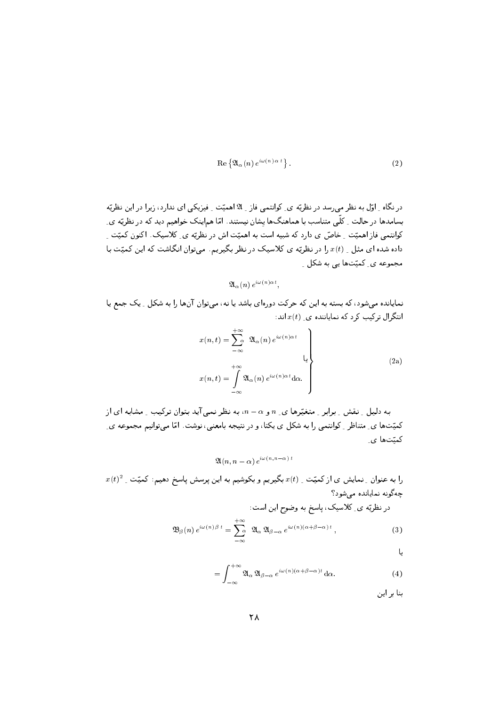$$
\operatorname{Re}\left\{ \mathfrak{A}_{\alpha}(n) e^{i\omega(n)\,\alpha\,t} \right\}.
$$
 (2)

در نگاه ِ اوّل به نظر می٫سد د٫ نظریّه ی ِ کوانتمی فاز ِ لا اهمیّت ِ فیزیکی ای ندارد، زیرا د٫ این نظریّه بسامدها در حالت <sub>-</sub> کلّی متناسب با هماهنگها یشان نیستند. امّا هماینک خواهیم دید که در نظریّه ی ِ کوانتمے فاز اهمیّت ِ خاصّ ی دارد که شبیه است به اهمیّت اش در نظرته ی کلاسیک. اکنون کمیّت داده شده ای مثل <sub>-</sub> (t از در نظریّه ی کلاسیک در نظر بگیریم. میتوان انگاشت که این کمیّت با مجموعه ی کمیّتها یی به شکل ۱

 $\mathfrak{A}_{\alpha}(n) e^{i\omega(n)\alpha t}$ 

نمایانده می شود، که بسته به این که حرکت دورهای باشد یا نه، می توان آنها را به شکل \_ یک جمع یا انتگرال ترکیب کرد که نمایاننده ی  $x(t)$ اند:

$$
x(n,t) = \sum_{-\infty}^{+\infty} \mathfrak{A}_{\alpha}(n) e^{i\omega(n)\alpha t}
$$
  

$$
x(n,t) = \int_{-\infty}^{+\infty} \mathfrak{A}_{\alpha}(n) e^{i\omega(n)\alpha t} d\alpha.
$$
 (2a)

به دلیل ِ نقش ِ برابر ِ متغیّرها ی ِ n و a – n، به نظر نمی آید بتوان ترکیب ِ مشابه ای از کمیّتها ی ِ متناظر ِ کوانتمی را به شکل ی یکتا، و در نتیجه بامعنی، نوشت. امّا می توانیم مجموعه ی ِ کمتتها ی

$$
\mathfrak{A}(n,n-\alpha)\,e^{i\omega(n,n-\alpha)\,t}
$$

 $x(t)^2$  را به عنوان ِ نمایش ی از کمیّت ِ  $x(t)$  بگیریم و بکوشیم به این پرسش پاسخ دهیم: کمیّت ِ چه گونه نمایانده می شود؟  $1.1 \pm 1.1$   $\leq$   $N<\pi$ 

$$
\mathfrak{B}_{\beta}(n) e^{i\omega(n)\beta t} = \sum_{-\infty}^{+\infty} \mathfrak{A}_{\alpha} \mathfrak{A}_{\beta-\alpha} e^{i\omega(n)(\alpha+\beta-\alpha)t}, \qquad (3)
$$

L

$$
= \int_{-\infty}^{+\infty} \mathfrak{A}_{\alpha} \, \mathfrak{A}_{\beta-\alpha} \, e^{i\omega(n)(\alpha+\beta-\alpha)t} \, \mathrm{d}\alpha. \tag{4}
$$

بنا بر این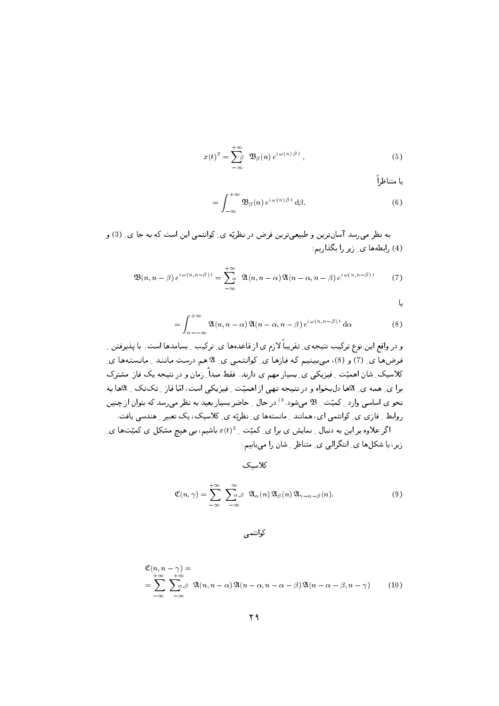$$
x(t)^{2} = \sum_{-\infty}^{+\infty} \mathfrak{B}_{\beta}(n) e^{i \omega(n) \beta t}, \qquad (5)
$$

يا متناظ∫ً

$$
= \int_{-\infty}^{+\infty} \mathfrak{B}_{\beta}(n) e^{i \omega(n) \beta t} d\beta.
$$
 (6)

په نظر می، سد آسان ترین و طبیعی ترین فرض در نظریّه ی ِ کوانتمی این است که به جا ی ِ (3) و (4) رابطهها ی ِ زیر را بگذاریم:

$$
\mathfrak{B}(n,n-\beta) e^{i \omega(n,n-\beta) t} = \sum_{-\infty}^{+\infty} \mathfrak{A}(n,n-\alpha) \mathfrak{A}(n-\alpha,n-\beta) e^{i \omega(n,n-\beta) t} \tag{7}
$$

 $\mathsf{L}$ 

$$
= \int_{\alpha = -\infty}^{+\infty} \mathfrak{A}(n, n - \alpha) \, \mathfrak{A}(n - \alpha, n - \beta) \, e^{i \, \omega \, (n, n - \beta) \, t} \, \mathrm{d}\alpha \tag{8}
$$

و در واقع این نوع ترکیب نتیجهی ِ تقریباً لازم ی از قاعدهها ی ِ ترکیب ِ بسامدها است. با پذیرفتن ِ ِ فرضها ی ِ (7) و (8)، میبینیم که فازها ی ِ کوانتمی ی ِ لاهم درست مانند ِ مانستهها ی ِ کلاسیک ِ شان اهمیّت ِ فیزیکی ی ِ بسیار مهم ی دارند. فقط مبداً ِ زمان و در نتیجه یک فاز ِ مشترک برا ي ِ همه ي ِ للاها دلبخواه و در نتيجه تهي از اهميّت ِ فيزيكي است، امّا فاز ِ تكتك ِ للاها به نحو ی اساسی وارد <sub>ب</sub> کمیّت <sub>بـ</sub> \$ می شود .<sup>3)</sup> در حال <sub>ب</sub> حاضر بسیار بعید به نظر می رسد که بتوان از چنین روابط ِ فازی ی ِ کوانتمی ای، همانند ِ مانستهها ی ِ نظریّه ی ِ کلاسیک، یک تعبیر ِ هندسی یافت.

اگر علاوه بر این به دنبال ِ نمایش ی برا ی ِ کمیّت ِ  $x(t)^3$  باشیم، بی هیچ مشکل ی کمیّتها ی ِ زیر ، یا شکل ها ی ِ انتگرالی ی ِ متناظر ِ شان را می پاییم:

كلاسيك

$$
\mathfrak{C}(n,\gamma) = \sum_{-\infty}^{+\infty} \sum_{-\infty}^{\infty} \mathfrak{A}_{\alpha}(n) \mathfrak{A}_{\beta}(n) \mathfrak{A}_{\gamma-\alpha-\beta}(n).
$$
 (9)

کوانتمی

$$
\mathfrak{C}(n, n-\gamma) =
$$
\n
$$
= \sum_{-\infty}^{+\infty} \sum_{-\infty}^{+\infty} \mathfrak{A}(n, n-\alpha) \mathfrak{A}(n-\alpha, n-\alpha-\beta) \mathfrak{A}(n-\alpha-\beta, n-\gamma) \qquad (10)
$$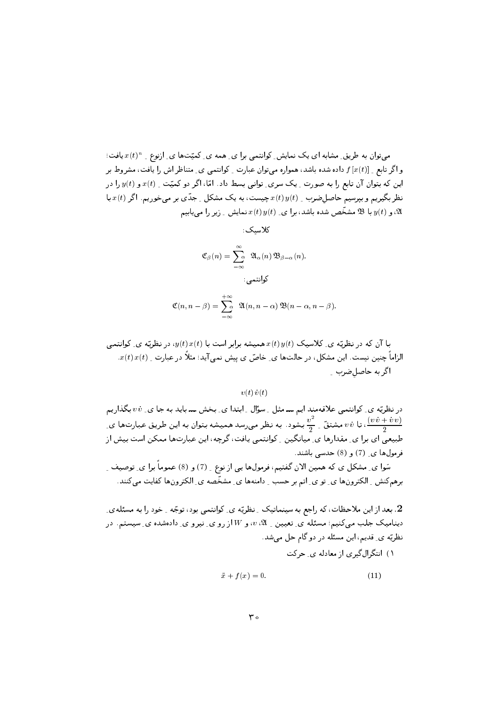میتوان به طریق ِ مشابه ای یک نمایش ِ کوانتمی برا ی ِ همه ی ِ کمیّتها ی ِ ارْنوع ِ  $x(t)^n$  یافت؛ و اگر تابع \_ [z(t)] داده شده باشد، همواره می توان عبارت \_ کوانتمی ی\_ متناظر اش را یافت، مشروط بر این که بتوان آن تابع را به صورت ِ یک سری ِ توانی بسط داد. امّا، اگر دو کمیّت ِ  $x(t)$  و  $y(t)$  را در نظر بگیریم و بیرسیم حاصل ضرب \_  $x(t)$  ویست، به یک مشکل \_ جدّی بر میخوریم. اگر  $x(t)$  با با 3\$ مشخّص شده باشد، برا ی ِ  $x(t)$  نمایش ِ زیر را مییابیم  $\mathfrak{B}$  با  $y(t)$ 

كلاسىك:

$$
\mathfrak{C}_{\beta}(n) = \sum_{-\infty}^{\infty} \; \mathfrak{A}_{\alpha}(n) \, \mathfrak{B}_{\beta-\alpha}(n).
$$

$$
\vdots
$$

$$
\mathfrak{C}(n, n-\beta) = \sum_{-\infty}^{+\infty} \mathfrak{A}(n, n-\alpha) \mathfrak{B}(n-\alpha, n-\beta).
$$

## $v(t)$   $v(t)$

در نظریّه ی ِ کوانتمی علاقهمند ایم ـــ مثل ِ سؤال ِ ابتدا ی ِ بخش ـــ باید به جا ی ِ v v بگذاریم نا نه سشتق عبارتها میشود. به نظر می رسد همیشه بتوان به این طریق عبارتها ی  $v \, i$  میشتق عبارتها ی  $\frac{v^2}{2}$ طبیعی ای برا ی ِ مقدارها ی ِ میانگین ِ کوانتمی یافت، گرچه، این عبارتها ممکن است بیش از فرمول ها ی (7) و (8) حدسی باشند.

سَوا ي ِ مشكل ي كه همين الان گفتيم، فرمولها يي از نوع ِ (7) و (8) عموماً برا ي ِ توصيف ِ برهم كنش \_ الكترونها ي\_ تو ي\_ اتم بر حسب \_ دامنهها ي\_ مشخّصه ي\_ الكترونها كفايت مىكنند.

2. بعد از این ملاحظات، که راجع به سینماتیک ِ نظریّه ی ِ کوانتمی بود، توجّه ِ خود را به مسئلهی ِ دیننامیک جلب میکنیم؛ مسئله ی ِ تعیین ِ 2 ، $v$ ، و W از رو ی ِ نیرو ی ِ دادهشده ی ِ سیستم. در نظریّه ی ِ قدیم، این مسئله در دو گام حل مبیشد.

١) انتگرالگیری از معادله ی حرکت

$$
\ddot{x} + f(x) = 0. \tag{11}
$$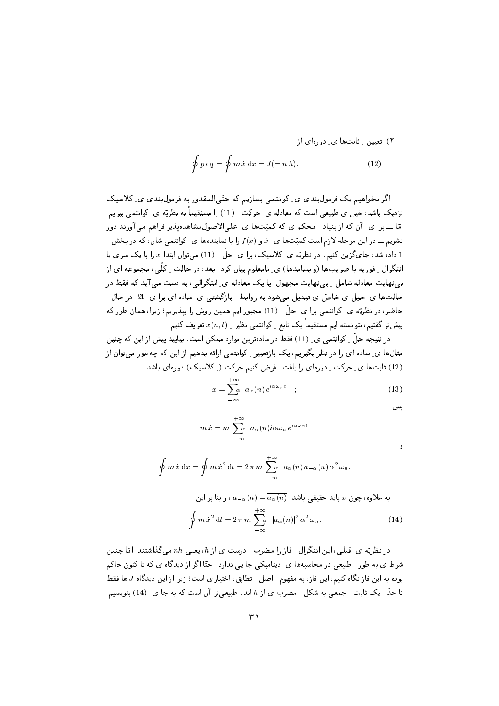تعیین ۔ ثابتها ی۔ دورہای از
$$
\oint p \, \mathrm{d}q = \oint m \, \dot{x} \, \mathrm{d}x = J (= n \, h). \tag{12}
$$

اگر بخواهیم یک فرمول بندی ی ِ کوانتمی بسازیم که حتّی المقدور به فرمول بندی ی ِ کلاسیک نزدیک باشد، خیل ی طبیعی است که معادله ی ِ حرکت ِ (11) را مستقیماً به نظریّه ی ِ کوانتمی ببریم. امّا ــــ برا ی ِ آن که از بنیاد \_ محکم ی که کمیّتها ی ِ علیالاصول مشاهدهیذیر فراهم می آورند دور نشویم ــ در این مرحله لازم است کمیّتها ی ِ  $\ddot{x}$  و  $f(x)$  را با نمایندهها ی ِ کوانتمی شان، که در بخش ِ 1 داده شد، جای گزین کنیم. در نظریّه ی ِ کلاسیک، برا ی ِ حلّ ِ (11) میتوان ابتدا  $x$  را با یک سری یا انتگرال ِ فوریه با ضریبها (و بسامدها) ی ِ نامعلوم بیان کرد. بعد، در حالت ِ کلّی، مجموعه ای از ببی نهایت معادله شامل <sub>-</sub> ببی نهایت مجهول، یا یک معادله ی ِ انتگرالبی، به دست می آید که فقط در حالتها ی خیل ی خاصّ ی تبدیل می شود به روابط ِ بازگشتی ی ِ ساده ای برا ی ِ لا. در حال ِ حاضر، در نظریّه ی ِ کوانتمی برا ی ِ حلّ ِ (11) مجبور ایم همین روش را بیذیریم؛ زیرا، همان طور که پیشتر گفتیم، نتوانسته ایم مستقیماً یک تابع ِ کوانتمی نظیر ِ  $x(n,t)$  تعریف کنیم.

در نتیجه حلّ ِ کوانتمی ی ِ (11) فقط در سادهترین موارد ممکن است. بیایید پیش از این که چنین مثالها ی ِ ساده ای را در نظر بگیریم، یک بازتعبیر ِ کوانتمی ارائه بدهیم از این که چهطور میتوان از (12) ثابتها ی ِ حرکت ِ دورهای را پافت. فرض کنیم حرکت ( ِ کلاسیک) دورهای باشد:

$$
x = \sum_{-\infty}^{+\infty} a_{\alpha}(n) e^{i\alpha \omega_n t} \quad ; \tag{13}
$$

يس

و

$$
m\,\dot{x} = m\,\sum_{-\infty}^{+\infty} \ a_{\alpha}(n)i\alpha\omega_n\,e^{i\alpha\omega_n\,t}
$$

$$
\oint m \dot{x} dx = \oint m \dot{x}^2 dt = 2 \pi m \sum_{-\infty}^{+\infty} a_{\alpha}(n) a_{-\alpha}(n) \alpha^2 \omega_n.
$$

به علاوه، چون   х باید حقیقی باشد،  
$$
a_{-\alpha}(n) = \overline{a_{\alpha}(n)}
$$
 
$$
\oint m \, \dot{x}^2 \, \mathrm{d}t = 2 \, \pi \, m \sum_{-\infty}^{+\infty} |a_{\alpha}(n)|^2 \, \alpha^2 \, \omega_n. \tag{14}
$$

در نظریّه ی ِ قبلی، این انتگرال ِ فاز را مضرب ِ درست ی از  $h$ ، یعنی  $nh$  می گذاشتند؛ امّا چنین شرط ی به طور \_ طبیعی در محاسبهها ی ِ دینامیکی جا یی ندارد . حتّا اگر از دیدگاه ی که تا کنون حاکم بوده به این فاز نگاه کنیم، این فاز، به مفهوم ِ اصل ِ تطابق، اختیاری است؛ زیرا از این دیدگاه J ها فقط تا حدّ ِ یک ثابت ِ جمعی به شکل ِ مضرب ی از h اند. طبیعیتر آن است که به جا ی ِ (14) بنویسیم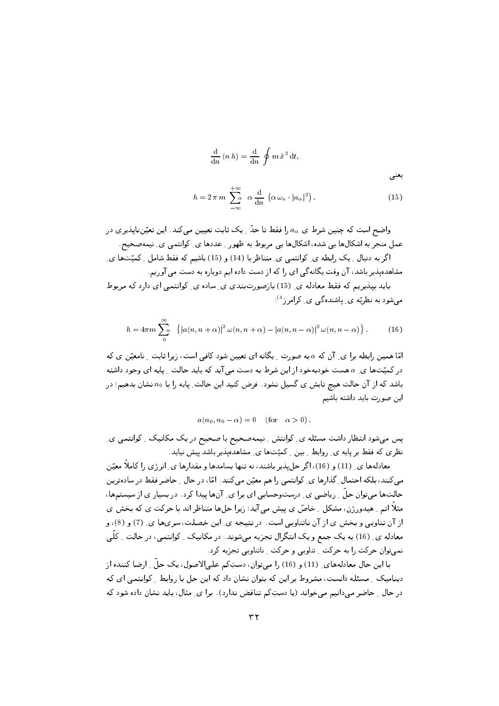$$
\frac{\mathrm{d}}{\mathrm{d}n}(n\,h) = \frac{\mathrm{d}}{\mathrm{d}n}\oint m\,\dot{x}^2\,\mathrm{d}t,
$$

يعنى

$$
h = 2 \pi m \sum_{-\infty}^{+\infty} \alpha \frac{d}{dn} \left( \alpha \omega_n \cdot |a_\alpha|^2 \right).
$$
 (15)

واضح است که چنین شرط ی  $a_\alpha$  را فقط تا حدّ ِ یک ثابت تعیین میکند. این تعیّننایذیری در عمل منجر به اشکالها یی شده، اشکالها یی مربوط به ظهور ِ عددها ی ِ کوانتمی ی ِ نیمهصحیح. اگر به دنبال ِ یک رابطه ی ِ کوانتمی ی ِ متناظر با (14) و (15) باشیم که فقط شامل ِ کمیّتها ی ِ

مشاهدهپذیر باشد، آن وقت یگانهگی ای را که از دست داده ایم دوباره به دست می آوریم.

باید بیذیریم که فقط معادله ی ِ (15) بازصورتبندی ی ِ ساده ی ِ کوانتمی ای دارد که مربوط می شود به نظریّه ی ِ پاشنده گی ی ِ کرامر ز<sup>4</sup>):

$$
h = 4\pi m \sum_{0}^{\infty} \left\{ |a(n, n+\alpha)|^2 \omega(n, n+\alpha) - |a(n, n-\alpha)|^2 \omega(n, n-\alpha) \right\}.
$$
 (16)

امّا همین رابطه برا ی ِ آن که a به صورت ِ یگانه ای تعیین شود کافی است، زیرا ثابت ِ نامعیّن ی که در کمیّتها ی ِ a هست خودبهخود از این شرط به دست می آید که باید حالت ِ پایه ای وجود داشته باشد که از آن حالت هیچ تابش ی گسیل نشود. فرض کنید این حالت ِ پایه را با  $n_0$  نشان بدهیم؛ در اين صورت بايد داشته باشيم

$$
a(n_0, n_0 - \alpha) = 0 \quad \text{(for} \quad \alpha > 0)
$$

پس میشود انتظار داشت مسئله ی ِ کوانتش ِ نیمهصحیح یا صحیح در یک مکانیک ِ کوانتمی ی ِ نظری که فقط بر پایه ی ِ روابط ِ بین ِ کمیّتها ی ِ مشاهدهپذیر باشد پیش نیاید.

معادلهها ی ِ (11) و (16)، اگر حل پذیر باشند، نه تنها بسامدها و مقدارها ی ِ انرژی را کاملاً معیّن می کنند، بلکه احتمال ِ گذارها ی ِ کوانتمی را هم معیّن می کنند. امّا، در حال ِ حاضر فقط در سادهترین حالتها میتوان حلّ ِ ِ ریاضی ی ِ درستوحسابی ای برا ی ِ آنها پیدا کرد . در بسیار ی از سیستمها، مثلاً اتم \_ هيدورژن، مشكل \_ خاصّ ي ييش مي آيد؛ زيرا حلها متناظر اند با حركت ي كه بخش ي از آن تناوبی و بخش ی از آن ناتناوبی است. در نتیجه ی ِ این خصلت، سریها ی ِ (7) و (8)، و معادله ي ِ (16) به يک جمع و يک انتگرال تجزيه ميشوند. در مکانيک ِ کوانتمي، در حالت ِ کلّي نمیتوان حرکت را به حرکت ِ تناوبی و حرکت ِ ناتناوبی تجزیه کرد.

با این حال معادلههای ِ (11) و (16) را میتوان، دستِکم علی|لاصول، یک حلّ ِ ارضا کننده از دینامیک ِ مسئله دانست، مشروط بر این که بتوان نشان داد که این حل با روابط ِ کوانتمی ای که در حال \_ حاضر میدانیم میخواند (یا دستِکم تناقض ندارد). برا ی\_ مثال، باید نشان داده شود که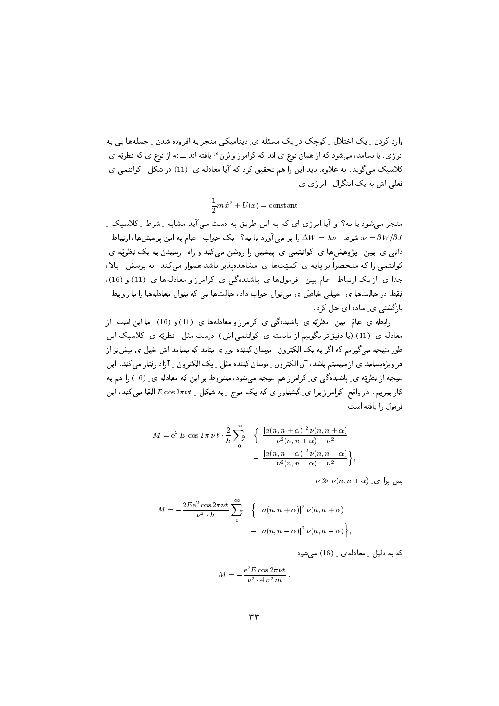وارد کردن ِ یک اختلال ِ کوچک در یک مسئله ی ِ دینامیکی منجر به افزوده شدن ِ جملهها یی به انرژی، یا بسامد، میشود که ازهمان نوع ی اند که کرامرز و بُرن <sup>ء)</sup> یافته اند ـــ نه از نوع ی که نظریّه ی ِ کلاسیک می گوید. به علاوه، باید این را هم تحقیق کرد که آیا معادله ی ِ (11) در شکل ِ کوانتمی ی ِ فعلے اش به یک انتگرال آنرژی ی

 $\frac{1}{2}m\,\dot{x}^2+U(x)=\mathrm{constant}$ 

منجر می شود یا نه؟ و آیا انرژی ای که به این طریق به دست می آید مشابه \_ شرط \_ کلاسیک \_ شرط یا سه آورد یا نه؟. یک جواب عام به این پرسشها، ارتباط ی $W=h\nu$  با استباط کا  $\nu=\partial W/\partial J$ ذاتبی ی بین ِ پژوهشها ی ِکوانتمبی ی ِپیشین را روشن می کند و راه ِ رسیدن به یک نظریّه ی کوانتمی را که منحصراً بر پایه ی ِ کمیّتها ی ِ مشاهدهپذیر باشد هموار میکند. به پرسش ِ بالا، جدا ی ِ از یک ارتباط ِ عام بین ِ فرمولها ی ِ پاشندهگی ی ِ کرامرز و معادلهها ی ِ (11) و (16)، فقط در حالتها ي ِ خيلي خاصّ ي ميتوان جواب داد، حالتها يي كه بتوان معادلهها را با روابط ِ بازگشتی ی ساده ای جل کرد.

رابطه ي ِ عامّ ِ بين ِ نظريّه ي ِ پاشندهگي ي ِ كرامرز و معادلهها ي ِ (11) و (16) ِ ما اين است: از معادله ی ِ (11) (یا دقیقتر بگوییم از مانسته ی ِ کوانتمی اش)، درست مثل ِ نظریّه ی ِ کلاسیک این طور نتیجه میگیریم که اگر به یک الکترون ِ نوسان کننده نور ی بتابد که بسامد اش خیل ی بیشتر از هر ویژهبسامد ی از سیستم باشد، آن الکترون ِ نوسان کننده مثل ِ یک الکترون ِ آزاد رفتار میکند. این نتیجه از نظریّه ی ِ پاشندهگی ی ِ کرامرز هم نتیجه میشود، مشروط بر این که معادله ی ِ (16) را هم به کار ببریم. در واقع، کرامرز برا ی ِ گشتاور ی که یک موج ِ به شکل ِ E  $E\cos 2\pi \nu t$  القا میکند، این فرمول را بافته است:

$$
M = e^{2} E \cos 2 \pi \nu t \cdot \frac{2}{h} \sum_{0}^{\infty} \left\{ \frac{|a(n, n + \alpha)|^{2} \nu(n, n + \alpha)}{\nu^{2}(n, n + \alpha) - \nu^{2}} - \frac{|a(n, n - \alpha)|^{2} \nu(n, n - \alpha)}{\nu^{2}(n, n - \alpha) - \nu^{2}} \right\},
$$

 $\nu \gg \nu(n,n+\alpha)$  دیس برای

$$
M = -\frac{2E e^2 \cos 2\pi \nu t}{\nu^2 \cdot h} \sum_{0}^{\infty} \left\{ |a(n, n + \alpha)|^2 \nu(n, n + \alpha) - |a(n, n - \alpha)|^2 \nu(n, n - \alpha) \right\},\,
$$

که به دلیل معادلهی (16) می شود

$$
M = -\frac{e^2 E \cos 2\pi \nu t}{\nu^2 \cdot 4 \pi^2 m}
$$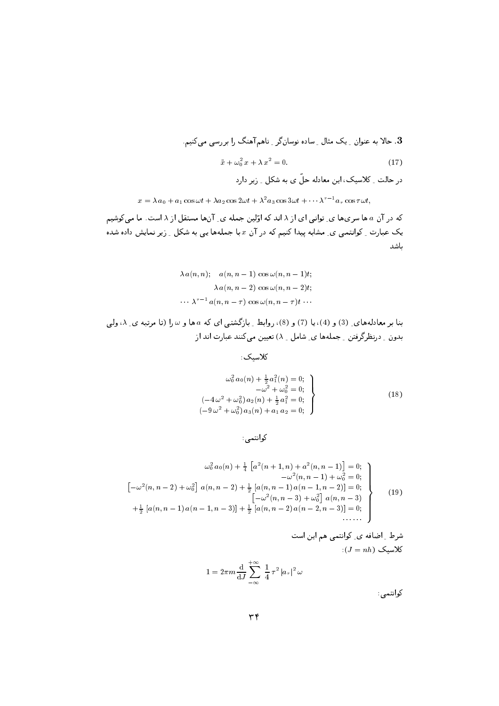. حالا به عنوان \_ یک مثال \_ ساده نوسانگر \_ ناهم آهنگ را بر رسی می کنیم.

$$
\ddot{x} + \omega_0^2 x + \lambda x^2 = 0. \tag{17}
$$

در عنگ رسیک، بین متفقفہ علی کی بہ مسئل ریز درج

 $x = \lambda a_0 + a_1 \cos \omega t + \lambda a_2 \cos 2\omega t + \lambda a_3 \cos 3\omega t + \cdots \lambda \qquad a_\tau \cos \tau \omega t,$ 

(4\$ 2 #  R>3 ) 7# 4F-  #   5 ) 
 یک عبارت <sub>-</sub> کوانتمی ی ِ مشابه پیدا کنیم که در آن x با جملهها یی به شکل <sub>- ن</sub>یر نمایش داده شده باشد

$$
\lambda a(n, n); \quad a(n, n - 1) \cos \omega(n, n - 1)t;
$$

$$
\lambda a(n, n - 2) \cos \omega(n, n - 2)t;
$$

$$
\cdots \lambda^{\tau - 1} a(n, n - \tau) \cos \omega(n, n - \tau)t \cdots
$$

F- # T 5 5V  -  % g- 
 U;V-U
V U0V-UV F .   ,
T8 .. 445 U# R\$ 7# = -

 $\mathcal{M}_0$  and  $\mathcal{M}_0$  are the set of the set of the set of the set of the set of the set of the set of the set of the set of the set of the set of the set of the set of the set of the set of the set of the set of the se

$$
\omega_0^2 a_0(n) + \frac{1}{2} a_1^2(n) = 0; \n-\omega^2 + \omega_0^2 = 0; \n(-4\omega^2 + \omega_0^2) a_2(n) + \frac{1}{2} a_1^2 = 0; \n(-9\omega^2 + \omega_0^2) a_3(n) + a_1 a_2 = 0;
$$
\n(18)

\#

$$
\omega_0^2 a_0(n) + \frac{1}{4} \left[ a^2(n+1, n) + a^2(n, n-1) \right] = 0; \n- \omega^2(n, n-1) + \omega_0^2 = 0; \n\left[ -\omega^2(n, n-2) + \omega_0^2 \right] a(n, n-2) + \frac{1}{2} \left[ a(n, n-1) a(n-1, n-2) \right] = 0; \n\left[ -\omega^2(n, n-3) + \omega_0^2 \right] a(n, n-3) \n+ \frac{1}{2} \left[ a(n, n-1) a(n-1, n-3) \right] + \frac{1}{2} \left[ a(n, n-2) a(n-2, n-3) \right] = 0; \n\cdots
$$
\n(19)

شرط <sub>ر</sub> اضافہ ی<sub>د</sub> کوانتمی هم این است  
کلاسیک 
$$
(J = nh)
$$

$$
1 = 2\pi m \frac{\mathrm{d}}{\mathrm{d}J} \sum_{-\infty}^{+\infty} \frac{1}{4} \tau^2 |a_\tau|^2 \,\omega
$$

كوانتمى: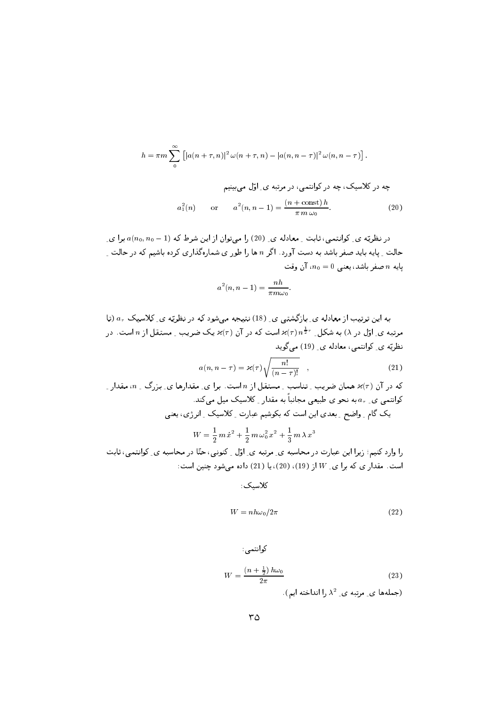$$
h = \pi m \sum_{0}^{\infty} \left[ \left| a(n+\tau,n) \right|^2 \omega(n+\tau,n) - \left| a(n,n-\tau) \right|^2 \omega(n,n-\tau) \right].
$$

چه در کلاسیک، چه در کوانتمی، در مرتبه ی<sub>۔</sub> اوّل میبینیم  
\n
$$
a_1^2(n) \qquad \text{or} \qquad a^2(n, n-1) = \frac{(n + \text{const})h}{\pi m \omega_0}.
$$
\n(20)

در نظریّه ی ِ کوانتمی، ثابت ِ معادله ی ِ (20) را میتوان از این شرط که (1 - a(no, no برا ی حالت <sub>-</sub> پایه باید صفر باشد به دست آورد. اگر n ها را طور ی شمارهگذاری کرده باشیم که در حالت <sub>-</sub> بايه n صفر باشد، يعني  $n = 0$ ، آن وقت

$$
a^2(n, n-1) = \frac{nh}{\pi m \omega_0}
$$

به این ترتیب از معادله ی ِ بازگشتبی ی ِ (18) نتیبجه میشود که در نظریّه ی ِ کلاسیک  $a_\tau$  (تا مرتبه ی ِ اوّل در  $(\lambda$ ) به شکل ِ  $\pi^{\frac{1}{2}\tau}$  است که در آن  $\chi(\tau)$  یک ضریب ِ مستقل از  $n$  است. در نظریّه ی ِ کوانتمی، معادله ی ِ (19) میگوید

$$
a(n, n - \tau) = \varkappa(\tau) \sqrt{\frac{n!}{(n - \tau)!}} \quad , \tag{21}
$$

که در آن (7)× همان ضریب ۔ تناسب ۔ مستقل از *n* است. برای\_ مقدارها ی۔ بزرگ ۔ *n، مقدار ۔*  
کوانتمی ی۔ ہه به نحو ی طبیعی مجانباً به مقدار ۔ کلاسیک میل میکند.  
یک گام ۔ واضح ۔ بعدی این است که بکوشیم عبارت ۔ کلاسیک ۔ انرژی، یعنی  

$$
W = \frac{1}{2} m \dot{x}^2 + \frac{1}{2} m \omega_0^2 \dot{x}^2 + \frac{1}{3} m \lambda \dot{x}^3
$$

را وارد کنیم؛ زیرا این عبارت در محاسبه ی ِ مرتبه ی ِ اوّل ِ کنونی، حتّا در محاسبه ی ِ کوانتمی، ثابت است. مقدار ی که برا ی W از (19)، (20)، یا (21) داده میشود چنین است:

كلاسىك:

$$
W = nh\omega_0/2\pi\tag{22}
$$

$$
W = \frac{\left(n + \frac{1}{2}\right)h\omega_0}{2\pi} \tag{23}
$$

(جملهها ی مرتبه ی  $\lambda^2$  را انداخته ایم)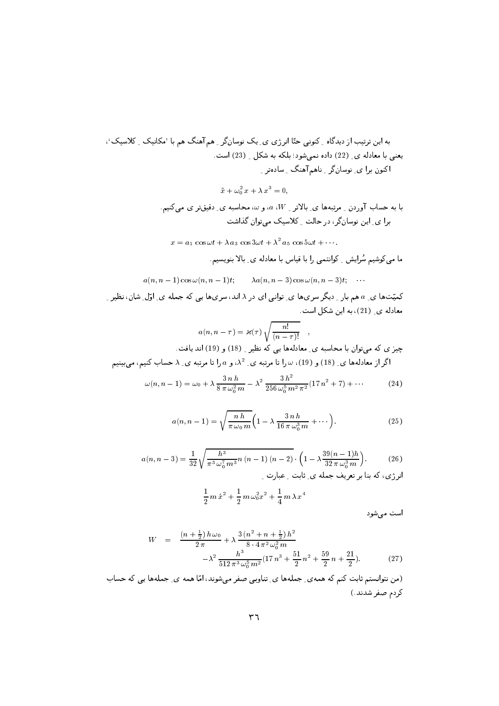$\ddot{x} + \omega_0^2 x + \lambda x^3 = 0,$ 

با به حساب آوردن <sub>-</sub> مرتبهها ي ِ بالاتر <sub>-</sub> a ،W، و ω، محاسبه ي ِ دقيقتر ي ميكنيم. برا ی ِ این نوسانگر، در حالت ِ کلاسیک می توان گذاشت

 $x = a_1 \cos \omega t + \lambda a_3 \cos 3\omega t + \lambda^2 a_5 \cos 5\omega t + \cdots$ 

ما می کوشیم سُرایش \_ کوانتمی را با قیاس با معادله ی ِ بالا بنویسیم.

$$
a(n, n-1) \cos \omega (n, n-1)t;
$$
  $\lambda a(n, n-3) \cos \omega (n, n-3)t;$  ...

کمیّتها ی ِ a هم بار ِ دیگر سریها ی ِ توانی ای در ۸ اند، سریها یی که جمله ی ِ اوّل ِ شان، نظیر ِ ِ معادله ی ِ (21)، به این شکل است.

$$
a(n, n - \tau) = \varkappa(\tau) \sqrt{\frac{n!}{(n - \tau)!}},
$$
 یہ میتوان با محاسبہ ی۔ معادلهها یی که نظیر ۔ (18) و (19) اند یافت.  
اگر از معادلهها ی ۔ (18) و (19)، س را تا مرتبه ی ۔ 2، و ه را تا مرتبه ی ۔ ۲ حساب کنیم، میبینیم

$$
\omega(n, n-1) = \omega_0 + \lambda \frac{3 n h}{8 \pi \omega_0^2 m} - \lambda^2 \frac{3 h^2}{256 \omega_0^5 m^2 \pi^2} (17 n^2 + 7) + \cdots
$$
 (24)

$$
a(n, n-1) = \sqrt{\frac{nh}{\pi \omega_0 m}} \left( 1 - \lambda \frac{3 nh}{16 \pi \omega_0^3 m} + \cdots \right).
$$
 (25)

$$
a(n, n-3) = \frac{1}{32} \sqrt{\frac{h^3}{\pi^3 \omega_0^7 m^3} n(n-1)(n-2)} \cdot \left(1 - \lambda \frac{39(n-1)h}{32 \pi \omega_0^3 m}\right).
$$
 (26)

انرزی، نه بنا بر تعریف جمله ی ِ ثابت ِ عبارت ِ

$$
\frac{1}{2} m \dot{x}^2 + \frac{1}{2} m \omega_0^2 x^2 + \frac{1}{4} m \lambda x^4
$$

است مىشود

$$
W = \frac{\left(n + \frac{1}{2}\right)h\omega_0}{2\pi} + \lambda \frac{3\left(n^2 + n + \frac{1}{2}\right)h^2}{8\cdot 4\pi^2\omega_0^2 m} -\lambda^2 \frac{h^3}{512\pi^3\omega_0^5 m^2} (17\,n^3 + \frac{51}{2}\,n^2 + \frac{59}{2}\,n + \frac{21}{2}).\tag{27}
$$

(من نتوانستم ثابت کنم که همهی ِ جملهها ی ِ تناوبی صفر میشوند، امّا همه ی ِ جملهها یی که حساب كردم صفر شدند.)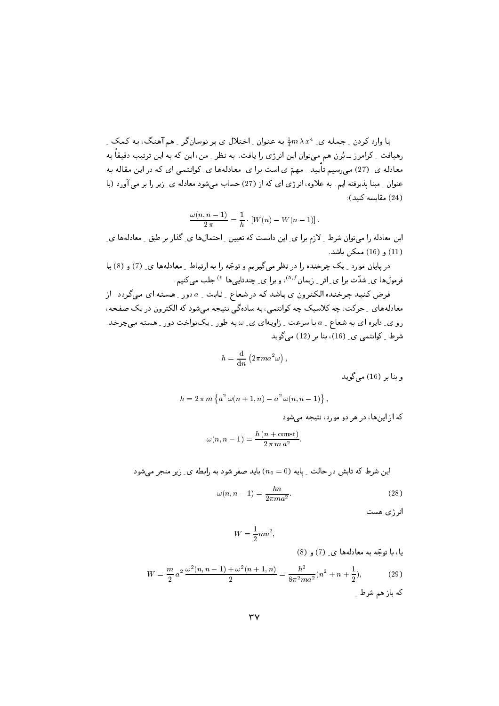با وارد کردن ِ جمله ی ِ  $\frac{1}{4}m\,\lambda\,x^4$  به عنوان ِ اختلال ی بر نوسانگر ِ همآهنگ، به کمک ِ رهیافت \_ کرامرز ـــ بُرن هم میتوان این انرژی را یافت. به نظر \_ من، این که به این ترتیب دقیقاً به معادله ی ِ (27) میرسیم تأیید ـ مهمّ ی است برا ی ِ معادلهها ی ِ کوانتمی ای که در این مقاله به عنوان \_ مبنا پذیرفته ایم. به علاوه، انرژی ای که از (27) حساب می شود معادله ی ِ زیر را بر می آورد (با  $(24)$  مقايسه كنيد).

$$
\frac{\omega(n, n-1)}{2 \pi} = \frac{1}{h} \cdot [W(n) - W(n-1)].
$$

این معادله را میتوان شرط <sub>-</sub> لازم برا ی ِ این دانست که تعیین <sub>-</sub> احتمال&ا ی ِ گذار بر طبق <sub>-</sub> معادلهها ی ِ (11) و (16) ممكن باشد.

در پایان مورد \_ یک چرخنده را در نظر می گیریم و توجّه را به ارتباط \_ معادلهها ي \_ (7) و (8) با فرمولها ی ِ شدّت برا ی ِ اثر ِ زیمان <sup>5,1)</sup>، و برا ی ِ چندتایی ها <sup>6)</sup> جلب می کنیم.

فرض کنید چرخنده الکترون ی باشد که در شعاع ِ ثابت ِ a دور ِ هسته ای میگردد. از معادلههای \_ حرکت، چه کلاسیک چه کوانتمی، به سادهگی نتیجه میشود که الکترون در یک صفحه، رو ی ِ دایره ای به شعاع ِ a با سرعت ِ زاویهای ی ِ ω به طور ِ یکنواخت دور ِ هسته میچرخد. شرط کوانتمی ی (16)، بنا بر (12) می گوید

$$
h = \frac{\mathrm{d}}{\mathrm{d}n} \left( 2\pi m a^2 \omega \right),\,
$$

وينا پر (16) مے گويد

$$
h = 2 \pi m \left\{ a^2 \omega (n + 1, n) - a^2 \omega (n, n - 1) \right\}
$$

که از اینها، در هر دو مورد، نتیجه می شود

$$
\omega(n, n-1) = \frac{h\left(n + \text{const}\right)}{2\pi m a^2}
$$

این شرط که تابش در حالت ِ بایه  $(n_0 = 0)$  باید صفر شود به رابطه ی ِ زیر منجر می شود.

$$
\omega(n, n-1) = \frac{hn}{2\pi m a^2}.\tag{28}
$$

انرژی هست

$$
W = \frac{1}{2}mv^2,
$$

یا، با توجّه به معادلهها ی (7) و (8)  $W = \frac{m}{2}a^2 \frac{\omega^2(n, n-1) + \omega^2(n+1, n)}{2} = \frac{h^2}{8\pi^2 m a^2}(n^2 + n + \frac{1}{2}),$  $(29)$ که باز هم شرط \_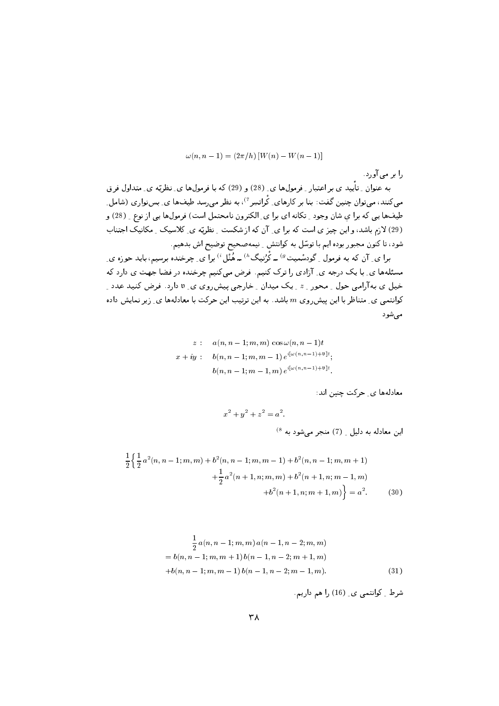$$
\omega(n, n-1) = (2\pi/h) [W(n) - W(n-1)]
$$

-) 

ب المستوان الإسلام التي المستهدار المستوان التي المحادث المستوات التي تستوات المستوات المستوات المستوات المستو می تنتید، میتوان چنین تفت: بنا بر تارهای ِ ترانسِر ۱۰ به نظر می رسد طیفها ی ِ بس نواری (سامل ِ  $U \setminus V$  ، الله المرتبط المستقص المستقص المستقص المستقص المستقص المستقص المستقص المستقص المستقص المستقص المستقص ن المراد المسافر المراس المراسم المراسم المسافر المسافر المسافر المسافر المسافر المسافر المسافر المسافر المسافر شود، تا کنون مجبور بوده ایم با توسّل به کوانتش ِ نیمهصحیح توضیح اش بدهیم.

برآ ی۔ آن که به فرمول <sub>-</sub> کودسمیت <sup>ن</sup> ــ کرنیک ` ــ هنل ` برآ ی۔ چرحنده برسیم، باید حوزه ی۔ مسئلهها ی ِ با یک درجه ی ِ آزادی را ترک کنیم. فرض میکنیم چرخنده در فضا جهت ی دارد که حیل ی به آرامی خون <sub>-</sub> محور *- » ـ* یک میدان <sub>-</sub> خارجی پیش روی ی. ۷ دارد. قر*ص* تنبید عدد ـ - نوائنگی ی ِ متناظر با این پیش روی  $m$  باشد. به این ترتیب این خریب با معادنامه ی ِ ریز تمایش داده میشود

$$
z: a(n, n-1; m, m) \cos \omega(n, n-1)t
$$
  

$$
x + iy: b(n, n-1; m, m-1) e^{i[\omega(n, n-1)+\mathfrak{v}]}t;
$$
  

$$
b(n, n-1; m-1, m) e^{i[\omega(n, n-1)+\mathfrak{v}]}t.
$$

<u> ب اس است.</u>

$$
x^2 + y^2 + z^2 = a^2.
$$
  
این معادله به دلیل ۔ (7) منجر میشود به <sup>(8</sup>

$$
\frac{1}{2} \left\{ \frac{1}{2} a^2 (n, n-1; m, m) + b^2 (n, n-1; m, m-1) + b^2 (n, n-1; m, m+1) + \frac{1}{2} a^2 (n+1, n; m, m) + b^2 (n+1, n; m-1, m) + b^2 (n+1, n; m+1, m) \right\} = a^2.
$$
\n(30)

$$
\frac{1}{2} a(n, n-1; m, m) a(n-1, n-2; m, m)
$$
  
=  $b(n, n-1; m, m+1) b(n-1, n-2; m+1, m)$   
+ $b(n, n-1; m, m-1) b(n-1, n-2; m-1, m).$  (31)

شرط ِ كوانتمى ي ِ (16) را هم داريم.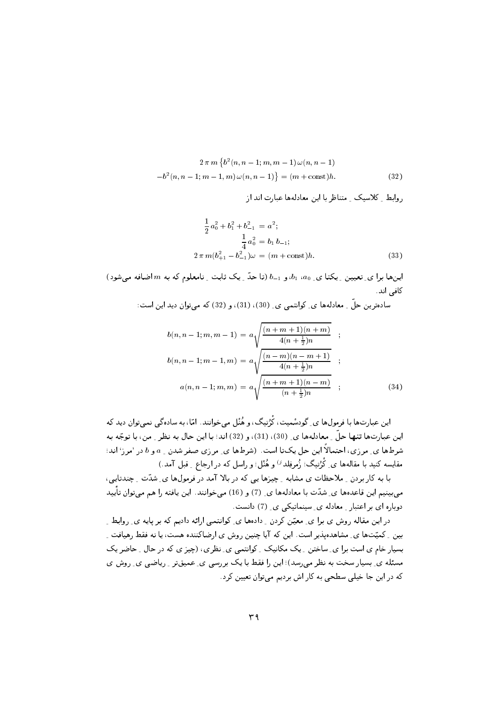$$
2 \pi m \left\{ b^{2}(n, n-1; m, m-1) \omega(n, n-1) - b^{2}(n, n-1; m-1, m) \omega(n, n-1) \right\} = (m + \text{const})h.
$$
\n(32)

ر سے اس سے اپنے اس کے اس اور اس اور اس اور اس اور اس اور اس کے اس اور اس کے اس اور اس کے اس کے اس کے اس کے اس

$$
\frac{1}{2}a_0^2 + b_1^2 + b_{-1}^2 = a^2;
$$
  
\n
$$
\frac{1}{4}a_0^2 = b_1 b_{-1};
$$
  
\n
$$
2 \pi m (b_{+1}^2 - b_{-1}^2)\omega = (m + \text{const})h.
$$
 (33)

U\$ =O : <sup>7</sup> 2 d M / B 5V & - & <sup>4</sup> <sup>4</sup> 5   كافي اند.

\2  5 UV - UV UV # F R/ B 5"

$$
b(n, n-1; m, m-1) = a \sqrt{\frac{(n+m+1)(n+m)}{4(n+\frac{1}{2})n}};
$$
  

$$
b(n, n-1; m-1, m) = a \sqrt{\frac{(n-m)(n-m+1)}{4(n+\frac{1}{2})n}};
$$
  

$$
a(n, n-1; m, m) = a \sqrt{\frac{(n+m+1)(n-m)}{(n+\frac{1}{2})n}};
$$
 (34)

این عبارتیک با ترمون، ی و دستیت، ترتیب، و همل می خواهد. اما، به شاده یی تمی توان دیگا ت این عبدرحامه تعهد عن رسمانده ما بر ۱٬۰۶۷٬۰۷۷٬۰۷۷٬۰۷۵٬۰۷۵٬۰۷۵٬۰۷۵٬۰۷۵٬۰۰۷٬۰۰۷٬۰۷ سرحسانی سرزی، استعداد این مثل یابت است. (شرحسانی شرزی مشتر شمان <sub>-</sub> » و » در امرز است. مقایسه کنید با مقالهها *ی ِ* گرنیک؛ رَمَرِقِلد <sup>ن</sup>َ و هنل؛ و راسل که در ارجاع ِ ِ قبل امد.)

با به کار بردن <sub>-</sub> ملاحظات ی مشابه <sub>-</sub> چیزها یی که در بالا آمد در فرمولها ی ِ شدّت <sub>-</sub> چندتایی، ليس المستقل المستقل المستقل المستقل المستقل المستقل المستقل المستقل المستقل المستقل المستقل المستقل المستقل المستقل - 1973 - 1985 - 1986 - 1987 - 20 - 1987 - 1988 - 1986 - 1987 - 1988 - 1987 - 1988 - 1987 - 1988 - 19

در این مقاله روش ی برا ی ِ معین تردن ِ دادهها ی ِ تواننمی آرانه دادیم ته بر پایه ی ِ روابط ِ بین ۱۰ تمیت می که مساهدهپدیر است. این که آیا چنین روس ی آرضا گننده هست، یا که فقط رهیافت ۱۰ M OB KB 
 <4[V - # M4 M H  2 :H 
43 - 
 O 
 5X4#8 
 M g>= 
  cU
 - 2@ 
43 73 445 5 (  
 ?J 74H